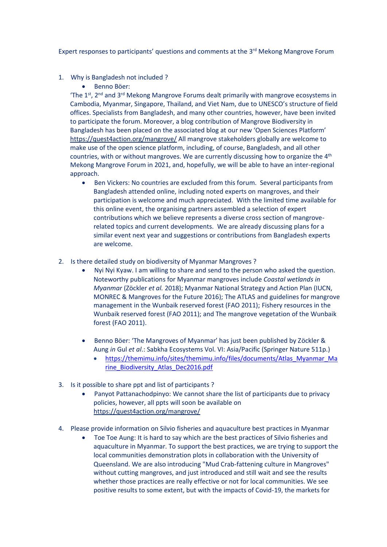Expert responses to participants' questions and comments at the 3<sup>rd</sup> Mekong Mangrove Forum

- 1. Why is Bangladesh not included ?
	- Benno Böer:

'The  $1^{st}$ ,  $2^{nd}$  and  $3^{rd}$  Mekong Mangrove Forums dealt primarily with mangrove ecosystems in Cambodia, Myanmar, Singapore, Thailand, and Viet Nam, due to UNESCO's structure of field offices. Specialists from Bangladesh, and many other countries, however, have been invited to participate the forum. Moreover, a blog contribution of Mangrove Biodiversity in Bangladesh has been placed on the associated blog at our new 'Open Sciences Platform' <https://quest4action.org/mangrove/> All mangrove stakeholders globally are welcome to make use of the open science platform, including, of course, Bangladesh, and all other countries, with or without mangroves. We are currently discussing how to organize the 4<sup>th</sup> Mekong Mangrove Forum in 2021, and, hopefully, we will be able to have an inter-regional approach.

- Ben Vickers: No countries are excluded from this forum. Several participants from Bangladesh attended online, including noted experts on mangroves, and their participation is welcome and much appreciated. With the limited time available for this online event, the organising partners assembled a selection of expert contributions which we believe represents a diverse cross section of mangroverelated topics and current developments. We are already discussing plans for a similar event next year and suggestions or contributions from Bangladesh experts are welcome.
- 2. Is there detailed study on biodiversity of Myanmar Mangroves ?
	- Nyi Nyi Kyaw. I am willing to share and send to the person who asked the question. Noteworthy publications for Myanmar mangroves include *Coastal wetlands in Myanmar* (Zöckler *et al.* 2018); Myanmar National Strategy and Action Plan (IUCN, MONREC & Mangroves for the Future 2016); The ATLAS and guidelines for mangrove management in the Wunbaik reserved forest (FAO 2011); Fishery resources in the Wunbaik reserved forest (FAO 2011); and The mangrove vegetation of the Wunbaik forest (FAO 2011).
	- Benno Böer: 'The Mangroves of Myanmar' has just been published by Zöckler & Aung *in* Gul *et al*.: Sabkha Ecosystems Vol. VI: Asia/Pacific (Springer Nature 511p.)
		- [https://themimu.info/sites/themimu.info/files/documents/Atlas\\_Myanmar\\_Ma](https://themimu.info/sites/themimu.info/files/documents/Atlas_Myanmar_Marine_Biodiversity_Atlas_Dec2016.pdf) [rine\\_Biodiversity\\_Atlas\\_Dec2016.pdf](https://themimu.info/sites/themimu.info/files/documents/Atlas_Myanmar_Marine_Biodiversity_Atlas_Dec2016.pdf)
- 3. Is it possible to share ppt and list of participants ?
	- Panyot Pattanachodpinyo: We cannot share the list of participants due to privacy policies, however, all ppts will soon be available on <https://quest4action.org/mangrove/>
- 4. Please provide information on Silvio fisheries and aquaculture best practices in Myanmar
	- Toe Toe Aung: It is hard to say which are the best practices of Silvio fisheries and aquaculture in Myanmar. To support the best practices, we are trying to support the local communities demonstration plots in collaboration with the University of Queensland. We are also introducing "Mud Crab-fattening culture in Mangroves" without cutting mangroves, and just introduced and still wait and see the results whether those practices are really effective or not for local communities. We see positive results to some extent, but with the impacts of Covid-19, the markets for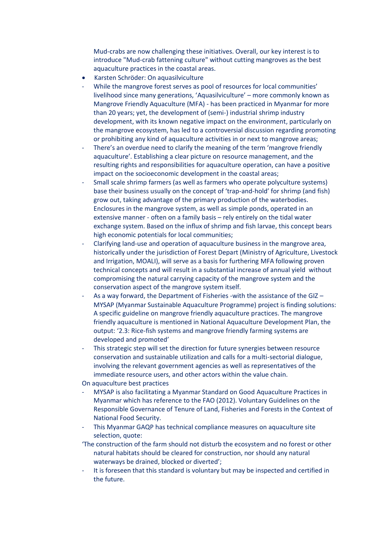Mud-crabs are now challenging these initiatives. Overall, our key interest is to introduce "Mud-crab fattening culture" without cutting mangroves as the best aquaculture practices in the coastal areas.

- Karsten Schröder: On aquasilviculture
- While the mangrove forest serves as pool of resources for local communities' livelihood since many generations, 'Aquasilviculture' – more commonly known as Mangrove Friendly Aquaculture (MFA) - has been practiced in Myanmar for more than 20 years; yet, the development of (semi-) industrial shrimp industry development, with its known negative impact on the environment, particularly on the mangrove ecosystem, has led to a controversial discussion regarding promoting or prohibiting any kind of aquaculture activities in or next to mangrove areas;
- There's an overdue need to clarify the meaning of the term 'mangrove friendly aquaculture'. Establishing a clear picture on resource management, and the resulting rights and responsibilities for aquaculture operation, can have a positive impact on the socioeconomic development in the coastal areas;
- Small scale shrimp farmers (as well as farmers who operate polyculture systems) base their business usually on the concept of 'trap-and-hold' for shrimp (and fish) grow out, taking advantage of the primary production of the waterbodies. Enclosures in the mangrove system, as well as simple ponds, operated in an extensive manner - often on a family basis – rely entirely on the tidal water exchange system. Based on the influx of shrimp and fish larvae, this concept bears high economic potentials for local communities;
- Clarifying land-use and operation of aquaculture business in the mangrove area, historically under the jurisdiction of Forest Depart (Ministry of Agriculture, Livestock and Irrigation, MOALI), will serve as a basis for furthering MFA following proven technical concepts and will result in a substantial increase of annual yield without compromising the natural carrying capacity of the mangrove system and the conservation aspect of the mangrove system itself.
- As a way forward, the Department of Fisheries -with the assistance of the GIZ MYSAP (Myanmar Sustainable Aquaculture Programme) project is finding solutions: A specific guideline on mangrove friendly aquaculture practices. The mangrove friendly aquaculture is mentioned in National Aquaculture Development Plan, the output: '2.3: Rice-fish systems and mangrove friendly farming systems are developed and promoted'
- This strategic step will set the direction for future synergies between resource conservation and sustainable utilization and calls for a multi-sectorial dialogue, involving the relevant government agencies as well as representatives of the immediate resource users, and other actors within the value chain.

On aquaculture best practices

- MYSAP is also facilitating a Myanmar Standard on Good Aquaculture Practices in Myanmar which has reference to the FAO (2012). Voluntary Guidelines on the Responsible Governance of Tenure of Land, Fisheries and Forests in the Context of National Food Security.
- This Myanmar GAQP has technical compliance measures on aquaculture site selection, quote:
- 'The construction of the farm should not disturb the ecosystem and no forest or other natural habitats should be cleared for construction, nor should any natural waterways be drained, blocked or diverted';
- It is foreseen that this standard is voluntary but may be inspected and certified in the future.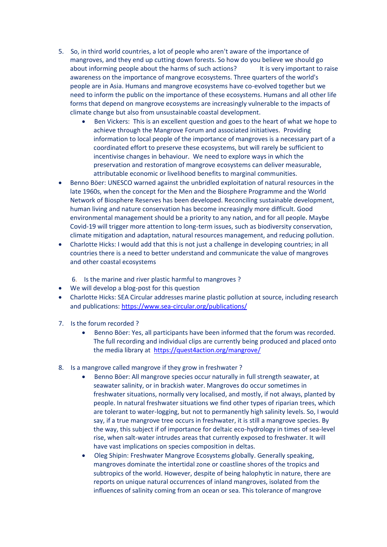- 5. So, in third world countries, a lot of people who aren't aware of the importance of mangroves, and they end up cutting down forests. So how do you believe we should go about informing people about the harms of such actions? It is very important to raise awareness on the importance of mangrove ecosystems. Three quarters of the world's people are in Asia. Humans and mangrove ecosystems have co-evolved together but we need to inform the public on the importance of these ecosystems. Humans and all other life forms that depend on mangrove ecosystems are increasingly vulnerable to the impacts of climate change but also from unsustainable coastal development.
	- Ben Vickers: This is an excellent question and goes to the heart of what we hope to achieve through the Mangrove Forum and associated initiatives. Providing information to local people of the importance of mangroves is a necessary part of a coordinated effort to preserve these ecosystems, but will rarely be sufficient to incentivise changes in behaviour. We need to explore ways in which the preservation and restoration of mangrove ecosystems can deliver measurable, attributable economic or livelihood benefits to marginal communities.
- Benno Böer: UNESCO warned against the unbridled exploitation of natural resources in the late 1960s, when the concept for the Men and the Biosphere Programme and the World Network of Biosphere Reserves has been developed. Reconciling sustainable development, human living and nature conservation has become increasingly more difficult. Good environmental management should be a priority to any nation, and for all people. Maybe Covid-19 will trigger more attention to long-term issues, such as biodiversity conservation, climate mitigation and adaptation, natural resources management, and reducing pollution.
- Charlotte Hicks: I would add that this is not just a challenge in developing countries; in all countries there is a need to better understand and communicate the value of mangroves and other coastal ecosystems
	- 6. Is the marine and river plastic harmful to mangroves ?
- We will develop a blog-post for this question
- Charlotte Hicks: SEA Circular addresses marine plastic pollution at source, including research and publications:<https://www.sea-circular.org/publications/>
- 7. Is the forum recorded ?
	- Benno Böer: Yes, all participants have been informed that the forum was recorded. The full recording and individual clips are currently being produced and placed onto the media library at <https://quest4action.org/mangrove/>
- 8. Is a mangrove called mangrove if they grow in freshwater ?
	- Benno Böer: All mangrove species occur naturally in full strength seawater, at seawater salinity, or in brackish water. Mangroves do occur sometimes in freshwater situations, normally very localised, and mostly, if not always, planted by people. In natural freshwater situations we find other types of riparian trees, which are tolerant to water-logging, but not to permanently high salinity levels. So, I would say, if a true mangrove tree occurs in freshwater, it is still a mangrove species. By the way, this subject if of importance for deltaic eco-hydrology in times of sea-level rise, when salt-water intrudes areas that currently exposed to freshwater. It will have vast implications on species composition in deltas.
	- Oleg Shipin: Freshwater Mangrove Ecosystems globally. Generally speaking, mangroves dominate the intertidal zone or coastline shores of the tropics and subtropics of the world. However, despite of being halophytic in nature, there are reports on unique natural occurrences of inland mangroves, isolated from the influences of salinity coming from an ocean or sea. This tolerance of mangrove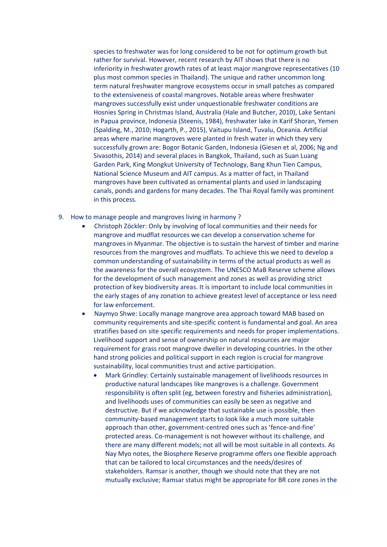species to freshwater was for long considered to be not for optimum growth but rather for survival. However, recent research by AIT shows that there is no inferiority in freshwater growth rates of at least major mangrove representatives (10 plus most common species in Thailand). The unique and rather uncommon long term natural freshwater mangrove ecosystems occur in small patches as compared to the extensiveness of coastal mangroves. Notable areas where freshwater mangroves successfully exist under unquestionable freshwater conditions are Hosnies Spring in Christmas Island, Australia (Hale and Butcher, 2010), Lake Sentani in Papua province, Indonesia (Steenis, 1984), freshwater lake in Karif Shoran, Yemen (Spalding, M., 2010; Hogarth, P., 2015), Vaitupu Island, Tuvalu, Oceania. Artificial areas where marine mangroves were planted in fresh water in which they very successfully grown are: Bogor Botanic Garden, Indonesia (Giesen et al, 2006; Ng and Sivasothis, 2014) and several places in Bangkok, Thailand, such as Suan Luang Garden Park, King Mongkut University of Technology, Bang Khun Tien Campus, National Science Museum and AIT campus. As a matter of fact, in Thailand mangroves have been cultivated as ornamental plants and used in landscaping canals, ponds and gardens for many decades. The Thai Royal family was prominent in this process.

- 9. How to manage people and mangroves living in harmony ?
	- Christoph Zöckler: Only by involving of local communities and their needs for mangrove and mudflat resources we can develop a conservation scheme for mangroves in Myanmar. The objective is to sustain the harvest of timber and marine resources from the mangroves and mudflats. To achieve this we need to develop a common understanding of sustainability in terms of the actual products as well as the awareness for the overall ecosystem. The UNESCO MaB Reserve scheme allows for the development of such management and zones as well as providing strict protection of key biodiversity areas. It is important to include local communities in the early stages of any zonation to achieve greatest level of acceptance or less need for law enforcement.
	- Naymyo Shwe: Locally manage mangrove area approach toward MAB based on community requirements and site-specific content is fundamental and goal. An area stratifies based on site specific requirements and needs for proper implementations. Livelihood support and sense of ownership on natural resources are major requirement for grass root mangrove dweller in developing countries. In the other hand strong policies and political support in each region is crucial for mangrove sustainability, local communities trust and active participation.
		- Mark Grindley: Certainly sustainable management of livelihoods resources in productive natural landscapes like mangroves is a challenge. Government responsibility is often split (eg, between forestry and fisheries administration), and livelihoods uses of communities can easily be seen as negative and destructive. But if we acknowledge that sustainable use is possible, then community-based management starts to look like a much more suitable approach than other, government-centred ones such as 'fence-and-fine' protected areas. Co-management is not however without its challenge, and there are many different models; not all will be most suitable in all contexts. As Nay Myo notes, the Biosphere Reserve programme offers one flexible approach that can be tailored to local circumstances and the needs/desires of stakeholders. Ramsar is another, though we should note that they are not mutually exclusive; Ramsar status might be appropriate for BR core zones in the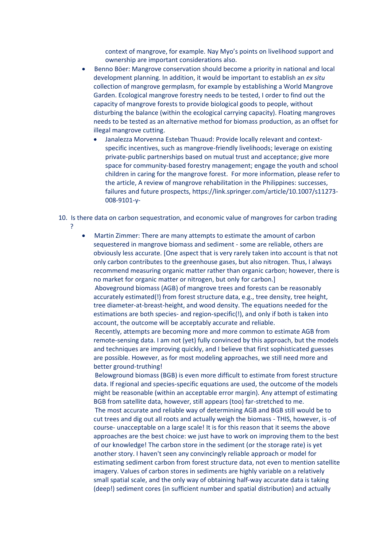context of mangrove, for example. Nay Myo's points on livelihood support and ownership are important considerations also.

- Benno Böer: Mangrove conservation should become a priority in national and local development planning. In addition, it would be important to establish an *ex situ* collection of mangrove germplasm, for example by establishing a World Mangrove Garden. Ecological mangrove forestry needs to be tested, I order to find out the capacity of mangrove forests to provide biological goods to people, without disturbing the balance (within the ecological carrying capacity). Floating mangroves needs to be tested as an alternative method for biomass production, as an offset for illegal mangrove cutting.
	- Janalezza Morvenna Esteban Thuaud: Provide locally relevant and contextspecific incentives, such as mangrove-friendly livelihoods; leverage on existing private-public partnerships based on mutual trust and acceptance; give more space for community-based forestry management; engage the youth and school children in caring for the mangrove forest. For more information, please refer to the article, A review of mangrove rehabilitation in the Philippines: successes, failures and future prospects, https://link.springer.com/article/10.1007/s11273- 008-9101-y-
- 10. Is there data on carbon sequestration, and economic value of mangroves for carbon trading ?
	- Martin Zimmer: There are many attempts to estimate the amount of carbon sequestered in mangrove biomass and sediment - some are reliable, others are obviously less accurate. [One aspect that is very rarely taken into account is that not only carbon contributes to the greenhouse gases, but also nitrogen. Thus, I always recommend measuring organic matter rather than organic carbon; however, there is no market for organic matter or nitrogen, but only for carbon.] Aboveground biomass (AGB) of mangrove trees and forests can be reasonably accurately estimated(!) from forest structure data, e.g., tree density, tree height, tree diameter-at-breast-height, and wood density. The equations needed for the estimations are both species- and region-specific(!), and only if both is taken into account, the outcome will be acceptably accurate and reliable. Recently, attempts are becoming more and more common to estimate AGB from remote-sensing data. I am not (yet) fully convinced by this approach, but the models

and techniques are improving quickly, and I believe that first sophisticated guesses are possible. However, as for most modeling approaches, we still need more and better ground-truthing!

 Belowground biomass (BGB) is even more difficult to estimate from forest structure data. If regional and species-specific equations are used, the outcome of the models might be reasonable (within an acceptable error margin). Any attempt of estimating BGB from satellite data, however, still appears (too) far-stretched to me.

 The most accurate and reliable way of determining AGB and BGB still would be to cut trees and dig out all roots and actually weigh the biomass - THIS, however, is -of course- unacceptable on a large scale! It is for this reason that it seems the above approaches are the best choice: we just have to work on improving them to the best of our knowledge! The carbon store in the sediment (or the storage rate) is yet another story. I haven't seen any convincingly reliable approach or model for estimating sediment carbon from forest structure data, not even to mention satellite imagery. Values of carbon stores in sediments are highly variable on a relatively small spatial scale, and the only way of obtaining half-way accurate data is taking (deep!) sediment cores (in sufficient number and spatial distribution) and actually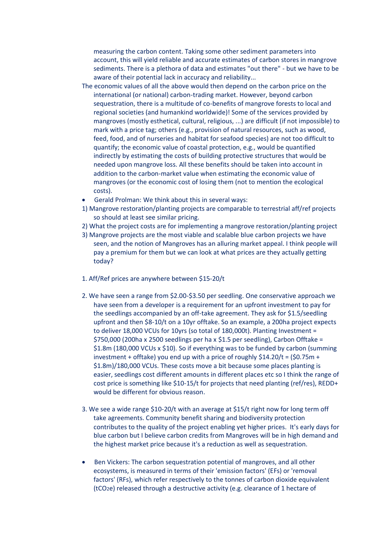measuring the carbon content. Taking some other sediment parameters into account, this will yield reliable and accurate estimates of carbon stores in mangrove sediments. There is a plethora of data and estimates "out there" - but we have to be aware of their potential lack in accuracy and reliability...

- The economic values of all the above would then depend on the carbon price on the international (or national) carbon-trading market. However, beyond carbon sequestration, there is a multitude of co-benefits of mangrove forests to local and regional societies (and humankind worldwide)! Some of the services provided by mangroves (mostly esthetical, cultural, religious, ...) are difficult (if not impossible) to mark with a price tag; others (e.g., provision of natural resources, such as wood, feed, food, and of nurseries and habitat for seafood species) are not too difficult to quantify; the economic value of coastal protection, e.g., would be quantified indirectly by estimating the costs of building protective structures that would be needed upon mangrove loss. All these benefits should be taken into account in addition to the carbon-market value when estimating the economic value of mangroves (or the economic cost of losing them (not to mention the ecological costs).
- Gerald Prolman: We think about this in several ways:
- 1) Mangrove restoration/planting projects are comparable to terrestrial aff/ref projects so should at least see similar pricing.
- 2) What the project costs are for implementing a mangrove restoration/planting project
- 3) Mangrove projects are the most viable and scalable blue carbon projects we have seen, and the notion of Mangroves has an alluring market appeal. I think people will pay a premium for them but we can look at what prices are they actually getting today?
- 1. Aff/Ref prices are anywhere between \$15-20/t
- 2. We have seen a range from \$2.00-\$3.50 per seedling. One conservative approach we have seen from a developer is a requirement for an upfront investment to pay for the seedlings accompanied by an off-take agreement. They ask for \$1.5/seedling upfront and then \$8-10/t on a 10yr offtake. So an example, a 200ha project expects to deliver 18,000 VCUs for 10yrs (so total of 180,000t). Planting Investment = \$750,000 (200ha x 2500 seedlings per ha x \$1.5 per seedling), Carbon Offtake = \$1.8m (180,000 VCUs x \$10). So if everything was to be funded by carbon (summing investment + offtake) you end up with a price of roughly  $$14.20/t = ($0.75m +$ \$1.8m)/180,000 VCUs. These costs move a bit because some places planting is easier, seedlings cost different amounts in different places etc so I think the range of cost price is something like \$10-15/t for projects that need planting (ref/res), REDD+ would be different for obvious reason.
- 3. We see a wide range \$10-20/t with an average at \$15/t right now for long term off take agreements. Community benefit sharing and biodiversity protection contributes to the quality of the project enabling yet higher prices. It's early days for blue carbon but I believe carbon credits from Mangroves will be in high demand and the highest market price because it's a reduction as well as sequestration.
- Ben Vickers: The carbon sequestration potential of mangroves, and all other ecosystems, is measured in terms of their 'emission factors' (EFs) or 'removal factors' (RFs), which refer respectively to the tonnes of carbon dioxide equivalent (tCO2e) released through a destructive activity (e.g. clearance of 1 hectare of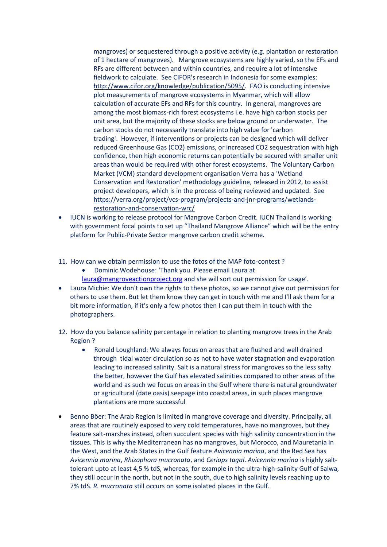mangroves) or sequestered through a positive activity (e.g. plantation or restoration of 1 hectare of mangroves). Mangrove ecosystems are highly varied, so the EFs and RFs are different between and within countries, and require a lot of intensive fieldwork to calculate. See CIFOR's research in Indonesia for some examples: [http://www.cifor.org/knowledge/publication/5095/.](http://www.cifor.org/knowledge/publication/5095/) FAO is conducting intensive plot measurements of mangrove ecosystems in Myanmar, which will allow calculation of accurate EFs and RFs for this country. In general, mangroves are among the most biomass-rich forest ecosystems i.e. have high carbon stocks per unit area, but the majority of these stocks are below ground or underwater. The carbon stocks do not necessarily translate into high value for 'carbon trading'. However, if interventions or projects can be designed which will deliver reduced Greenhouse Gas (CO2) emissions, or increased CO2 sequestration with high confidence, then high economic returns can potentially be secured with smaller unit areas than would be required with other forest ecosystems. The Voluntary Carbon Market (VCM) standard development organisation Verra has a 'Wetland Conservation and Restoration' methodology guideline, released in 2012, to assist project developers, which is in the process of being reviewed and updated. See [https://verra.org/project/vcs-program/projects-and-jnr-programs/wetlands](https://verra.org/project/vcs-program/projects-and-jnr-programs/wetlands-restoration-and-conservation-wrc/)[restoration-and-conservation-wrc/](https://verra.org/project/vcs-program/projects-and-jnr-programs/wetlands-restoration-and-conservation-wrc/)

- IUCN is working to release protocol for Mangrove Carbon Credit. IUCN Thailand is working with government focal points to set up "Thailand Mangrove Alliance" which will be the entry platform for Public-Private Sector mangrove carbon credit scheme.
- 11. How can we obtain permission to use the fotos of the MAP foto-contest ?
	- Dominic Wodehouse: 'Thank you. Please email Laura at
	- [laura@mangroveactionproject.org](mailto:laura@mangroveactionproject.org) and she will sort out permission for usage'.
- Laura Michie: We don't own the rights to these photos, so we cannot give out permission for others to use them. But let them know they can get in touch with me and I'll ask them for a bit more information, if it's only a few photos then I can put them in touch with the photographers.
- 12. How do you balance salinity percentage in relation to planting mangrove trees in the Arab Region ?
	- Ronald Loughland: We always focus on areas that are flushed and well drained through tidal water circulation so as not to have water stagnation and evaporation leading to increased salinity. Salt is a natural stress for mangroves so the less salty the better, however the Gulf has elevated salinities compared to other areas of the world and as such we focus on areas in the Gulf where there is natural groundwater or agricultural (date oasis) seepage into coastal areas, in such places mangrove plantations are more successful
- Benno Böer: The Arab Region is limited in mangrove coverage and diversity. Principally, all areas that are routinely exposed to very cold temperatures, have no mangroves, but they feature salt-marshes instead, often succulent species with high salinity concentration in the tissues. This is why the Mediterranean has no mangroves, but Morocco, and Mauretania in the West, and the Arab States in the Gulf feature *Avicennia marina*, and the Red Sea has *Avicennia marina*, *Rhizophora mucronata*, and *Ceriops tagal*. *Avicennia marina* is highly salttolerant upto at least 4,5 % tdS, whereas, for example in the ultra-high-salinity Gulf of Salwa, they still occur in the north, but not in the south, due to high salinity levels reaching up to 7% tdS. *R. mucronata* still occurs on some isolated places in the Gulf.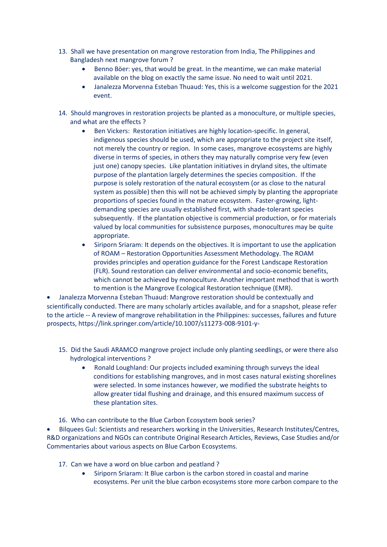- 13. Shall we have presentation on mangrove restoration from India, The Philippines and Bangladesh next mangrove forum ?
	- Benno Böer: yes, that would be great. In the meantime, we can make material available on the blog on exactly the same issue. No need to wait until 2021.
	- Janalezza Morvenna Esteban Thuaud: Yes, this is a welcome suggestion for the 2021 event.
- 14. Should mangroves in restoration projects be planted as a monoculture, or multiple species, and what are the effects ?
	- Ben Vickers: Restoration initiatives are highly location-specific. In general, indigenous species should be used, which are appropriate to the project site itself, not merely the country or region. In some cases, mangrove ecosystems are highly diverse in terms of species, in others they may naturally comprise very few (even just one) canopy species. Like plantation initiatives in dryland sites, the ultimate purpose of the plantation largely determines the species composition. If the purpose is solely restoration of the natural ecosystem (or as close to the natural system as possible) then this will not be achieved simply by planting the appropriate proportions of species found in the mature ecosystem. Faster-growing, lightdemanding species are usually established first, with shade-tolerant species subsequently. If the plantation objective is commercial production, or for materials valued by local communities for subsistence purposes, monocultures may be quite appropriate.
	- Siriporn Sriaram: It depends on the objectives. It is important to use the application of ROAM – Restoration Opportunities Assessment Methodology. The ROAM provides principles and operation guidance for the Forest Landscape Restoration (FLR). Sound restoration can deliver environmental and socio-economic benefits, which cannot be achieved by monoculture. Another important method that is worth to mention is the Mangrove Ecological Restoration technique (EMR).

• Janalezza Morvenna Esteban Thuaud: Mangrove restoration should be contextually and scientifically conducted. There are many scholarly articles available, and for a snapshot, please refer to the article -- A review of mangrove rehabilitation in the Philippines: successes, failures and future prospects, https://link.springer.com/article/10.1007/s11273-008-9101-y-

- 15. Did the Saudi ARAMCO mangrove project include only planting seedlings, or were there also hydrological interventions ?
	- Ronald Loughland: Our projects included examining through surveys the ideal conditions for establishing mangroves, and in most cases natural existing shorelines were selected. In some instances however, we modified the substrate heights to allow greater tidal flushing and drainage, and this ensured maximum success of these plantation sites.
- 16. Who can contribute to the Blue Carbon Ecosystem book series?

• Bilquees Gul: Scientists and researchers working in the Universities, Research Institutes/Centres, R&D organizations and NGOs can contribute Original Research Articles, Reviews, Case Studies and/or Commentaries about various aspects on Blue Carbon Ecosystems.

- 17. Can we have a word on blue carbon and peatland ?
	- Siriporn Sriaram: It Blue carbon is the carbon stored in coastal and marine ecosystems. Per unit the blue carbon ecosystems store more carbon compare to the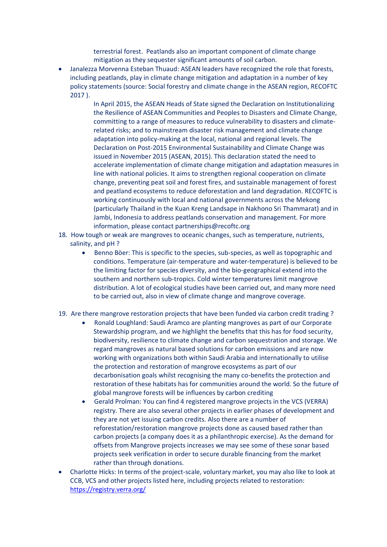terrestrial forest. Peatlands also an important component of climate change mitigation as they sequester significant amounts of soil carbon.

• Janalezza Morvenna Esteban Thuaud: ASEAN leaders have recognized the role that forests, including peatlands, play in climate change mitigation and adaptation in a number of key policy statements (source: Social forestry and climate change in the ASEAN region, RECOFTC 2017 ).

> In April 2015, the ASEAN Heads of State signed the Declaration on Institutionalizing the Resilience of ASEAN Communities and Peoples to Disasters and Climate Change, committing to a range of measures to reduce vulnerability to disasters and climaterelated risks; and to mainstream disaster risk management and climate change adaptation into policy-making at the local, national and regional levels. The Declaration on Post-2015 Environmental Sustainability and Climate Change was issued in November 2015 (ASEAN, 2015). This declaration stated the need to accelerate implementation of climate change mitigation and adaptation measures in line with national policies. It aims to strengthen regional cooperation on climate change, preventing peat soil and forest fires, and sustainable management of forest and peatland ecosystems to reduce deforestation and land degradation. RECOFTC is working continuously with local and national governments across the Mekong (particularly Thailand in the Kuan Kreng Landsape in Nakhono Sri Thammarat) and in Jambi, Indonesia to address peatlands conservation and management. For more information, please contact partnerships@recoftc.org

- 18. How tough or weak are mangroves to oceanic changes, such as temperature, nutrients, salinity, and pH ?
	- Benno Böer: This is specific to the species, sub-species, as well as topographic and conditions. Temperature (air-temperature and water-temperature) is believed to be the limiting factor for species diversity, and the bio-geographical extend into the southern and northern sub-tropics. Cold winter temperatures limit mangrove distribution. A lot of ecological studies have been carried out, and many more need to be carried out, also in view of climate change and mangrove coverage.
- 19. Are there mangrove restoration projects that have been funded via carbon credit trading ?
	- Ronald Loughland: Saudi Aramco are planting mangroves as part of our Corporate Stewardship program, and we highlight the benefits that this has for food security, biodiversity, resilience to climate change and carbon sequestration and storage. We regard mangroves as natural based solutions for carbon emissions and are now working with organizations both within Saudi Arabia and internationally to utilise the protection and restoration of mangrove ecosystems as part of our decarbonisation goals whilst recognising the many co-benefits the protection and restoration of these habitats has for communities around the world. So the future of global mangrove forests will be influences by carbon crediting
	- Gerald Prolman: You can find 4 registered mangrove projects in the VCS (VERRA) registry. There are also several other projects in earlier phases of development and they are not yet issuing carbon credits. Also there are a number of reforestation/restoration mangrove projects done as caused based rather than carbon projects (a company does it as a philanthropic exercise). As the demand for offsets from Mangrove projects increases we may see some of these sonar based projects seek verification in order to secure durable financing from the market rather than through donations.
- Charlotte Hicks: In terms of the project-scale, voluntary market, you may also like to look at CCB, VCS and other projects listed here, including projects related to restoration: <https://registry.verra.org/>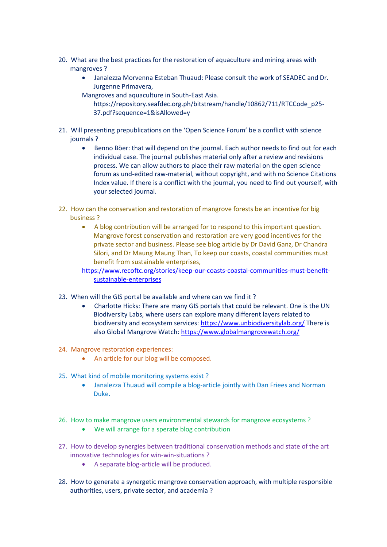- 20. What are the best practices for the restoration of aquaculture and mining areas with mangroves ?
	- Janalezza Morvenna Esteban Thuaud: Please consult the work of SEADEC and Dr. Jurgenne Primavera,
	- Mangroves and aquaculture in South-East Asia.
		- https://repository.seafdec.org.ph/bitstream/handle/10862/711/RTCCode\_p25- 37.pdf?sequence=1&isAllowed=y
- 21. Will presenting prepublications on the 'Open Science Forum' be a conflict with science journals ?
	- Benno Böer: that will depend on the journal. Each author needs to find out for each individual case. The journal publishes material only after a review and revisions process. We can allow authors to place their raw material on the open science forum as und-edited raw-material, without copyright, and with no Science Citations Index value. If there is a conflict with the journal, you need to find out yourself, with your selected journal.
- 22. How can the conservation and restoration of mangrove forests be an incentive for big business ?
	- A blog contribution will be arranged for to respond to this important question. Mangrove forest conservation and restoration are very good incentives for the private sector and business. Please see blog article by Dr David Ganz, Dr Chandra Silori, and Dr Maung Maung Than, To keep our coasts, coastal communities must benefit from sustainable enterprises,
	- [https://www.recoftc.org/stories/keep-our-coasts-coastal-communities-must-benefit](https://www.recoftc.org/stories/keep-our-coasts-coastal-communities-must-benefit-sustainable-enterprises)[sustainable-enterprises](https://www.recoftc.org/stories/keep-our-coasts-coastal-communities-must-benefit-sustainable-enterprises)
- 23. When will the GIS portal be available and where can we find it ?
	- Charlotte Hicks: There are many GIS portals that could be relevant. One is the UN Biodiversity Labs, where users can explore many different layers related to biodiversity and ecosystem services:<https://www.unbiodiversitylab.org/> There is also Global Mangrove Watch:<https://www.globalmangrovewatch.org/>
- 24. Mangrove restoration experiences:
	- An article for our blog will be composed.
- 25. What kind of mobile monitoring systems exist ?
	- Janalezza Thuaud will compile a blog-article jointly with Dan Friees and Norman Duke.
- 26. How to make mangrove users environmental stewards for mangrove ecosystems ?
	- We will arrange for a sperate blog contribution
- 27. How to develop synergies between traditional conservation methods and state of the art innovative technologies for win-win-situations ?
	- A separate blog-article will be produced.
- 28. How to generate a synergetic mangrove conservation approach, with multiple responsible authorities, users, private sector, and academia ?